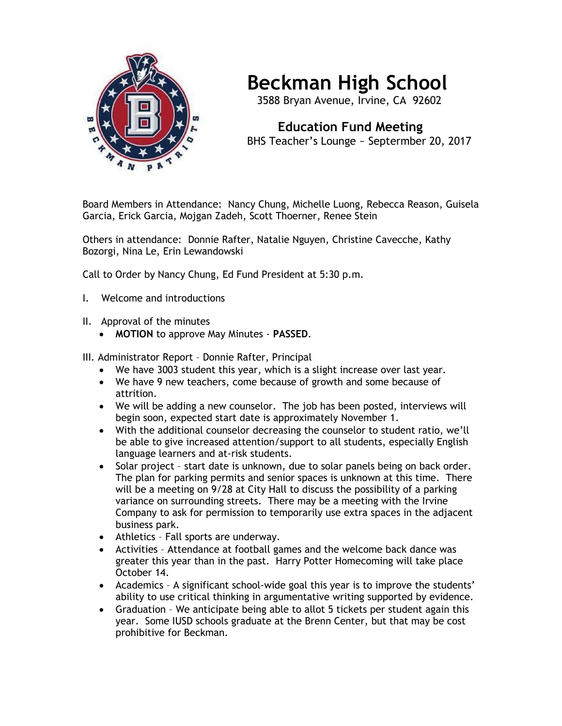

## **Beckman High School**

3588 Bryan Avenue, Irvine, CA 92602

 **Education Fund Meeting** BHS Teacher's Lounge ~ Septermber 20, 2017

Board Members in Attendance: Nancy Chung, Michelle Luong, Rebecca Reason, Guisela Garcia, Erick Garcia, Mojgan Zadeh, Scott Thoerner, Renee Stein

Others in attendance: Donnie Rafter, Natalie Nguyen, Christine Cavecche, Kathy Bozorgi, Nina Le, Erin Lewandowski

Call to Order by Nancy Chung, Ed Fund President at 5:30 p.m.

- I. Welcome and introductions
- II. Approval of the minutes
	- **MOTION** to approve May Minutes **PASSED**.

III. Administrator Report – Donnie Rafter, Principal

- We have 3003 student this year, which is a slight increase over last year.
- We have 9 new teachers, come because of growth and some because of attrition.
- We will be adding a new counselor. The job has been posted, interviews will begin soon, expected start date is approximately November 1.
- With the additional counselor decreasing the counselor to student ratio, we'll be able to give increased attention/support to all students, especially English language learners and at-risk students.
- Solar project start date is unknown, due to solar panels being on back order. The plan for parking permits and senior spaces is unknown at this time. There will be a meeting on 9/28 at City Hall to discuss the possibility of a parking variance on surrounding streets. There may be a meeting with the Irvine Company to ask for permission to temporarily use extra spaces in the adjacent business park.
- Athletics Fall sports are underway.
- Activities Attendance at football games and the welcome back dance was greater this year than in the past. Harry Potter Homecoming will take place October 14.
- Academics A significant school-wide goal this year is to improve the students' ability to use critical thinking in argumentative writing supported by evidence.
- Graduation We anticipate being able to allot 5 tickets per student again this year. Some IUSD schools graduate at the Brenn Center, but that may be cost prohibitive for Beckman.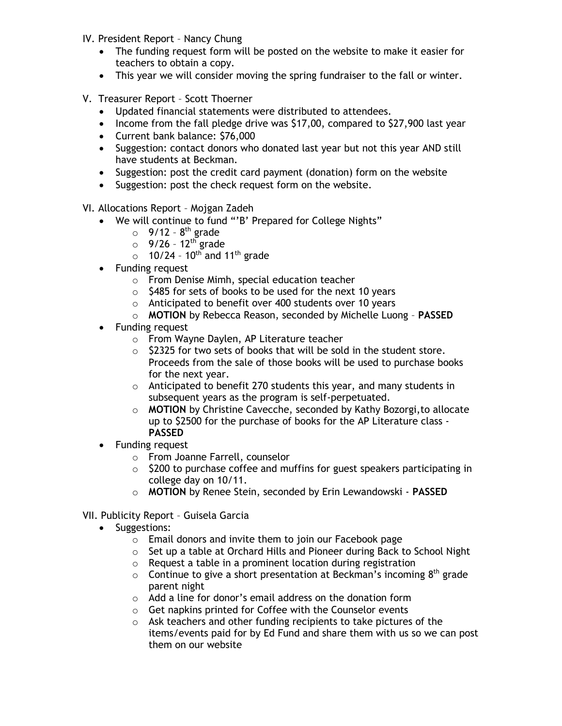- IV. President Report Nancy Chung
	- The funding request form will be posted on the website to make it easier for teachers to obtain a copy.
	- This year we will consider moving the spring fundraiser to the fall or winter.
- V. Treasurer Report Scott Thoerner
	- Updated financial statements were distributed to attendees.
	- Income from the fall pledge drive was \$17,00, compared to \$27,900 last year
	- Current bank balance: \$76,000
	- Suggestion: contact donors who donated last year but not this year AND still have students at Beckman.
	- Suggestion: post the credit card payment (donation) form on the website
	- Suggestion: post the check request form on the website.

VI. Allocations Report – Mojgan Zadeh

- We will continue to fund "'B' Prepared for College Nights"
	- $\circ$  9/12 8<sup>th</sup> grade
	- $\circ$  9/26 12<sup>th</sup> grade
	- $\circ$  10/24 10<sup>th</sup> and 11<sup>th</sup> grade
- Funding request
	- o From Denise Mimh, special education teacher
	- $\circ$  \$485 for sets of books to be used for the next 10 years
	- o Anticipated to benefit over 400 students over 10 years
	- o **MOTION** by Rebecca Reason, seconded by Michelle Luong **PASSED**
- Funding request
	- o From Wayne Daylen, AP Literature teacher
	- $\circ$  \$2325 for two sets of books that will be sold in the student store. Proceeds from the sale of those books will be used to purchase books for the next year.
	- $\circ$  Anticipated to benefit 270 students this year, and many students in subsequent years as the program is self-perpetuated.
	- o **MOTION** by Christine Cavecche, seconded by Kathy Bozorgi,to allocate up to \$2500 for the purchase of books for the AP Literature class - **PASSED**
- Funding request
	- o From Joanne Farrell, counselor
	- $\circ$  \$200 to purchase coffee and muffins for guest speakers participating in college day on 10/11.
	- o **MOTION** by Renee Stein, seconded by Erin Lewandowski **PASSED**
- VII. Publicity Report Guisela Garcia
	- Suggestions:
		- o Email donors and invite them to join our Facebook page
		- o Set up a table at Orchard Hills and Pioneer during Back to School Night
		- o Request a table in a prominent location during registration
		- $\circ$  Continue to give a short presentation at Beckman's incoming 8<sup>th</sup> grade parent night
		- o Add a line for donor's email address on the donation form
		- o Get napkins printed for Coffee with the Counselor events
		- o Ask teachers and other funding recipients to take pictures of the items/events paid for by Ed Fund and share them with us so we can post them on our website